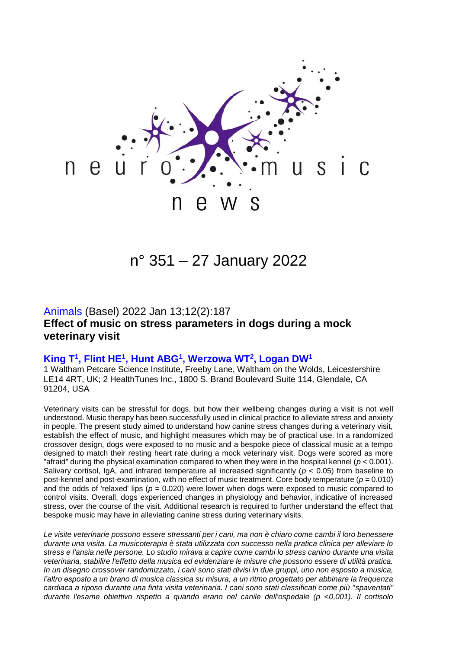

# n° 351 – 27 January 2022

## Animals (Basel) 2022 Jan 13;12(2):187 **Effect of music on stress parameters in dogs during a mock veterinary visit**

#### **King T<sup>1</sup> , Flint HE<sup>1</sup> , Hunt ABG<sup>1</sup> , Werzowa WT<sup>2</sup> , Logan DW<sup>1</sup>**

1 Waltham Petcare Science Institute, Freeby Lane, Waltham on the Wolds, Leicestershire LE14 4RT, UK; 2 HealthTunes Inc., 1800 S. Brand Boulevard Suite 114, Glendale, CA 91204, USA

Veterinary visits can be stressful for dogs, but how their wellbeing changes during a visit is not well understood. Music therapy has been successfully used in clinical practice to alleviate stress and anxiety in people. The present study aimed to understand how canine stress changes during a veterinary visit, establish the effect of music, and highlight measures which may be of practical use. In a randomized crossover design, dogs were exposed to no music and a bespoke piece of classical music at a tempo designed to match their resting heart rate during a mock veterinary visit. Dogs were scored as more "afraid" during the physical examination compared to when they were in the hospital kennel (*p* < 0.001). Salivary cortisol, IgA, and infrared temperature all increased significantly (*p* < 0.05) from baseline to post-kennel and post-examination, with no effect of music treatment. Core body temperature (*p* = 0.010) and the odds of 'relaxed' lips ( $p = 0.020$ ) were lower when dogs were exposed to music compared to control visits. Overall, dogs experienced changes in physiology and behavior, indicative of increased stress, over the course of the visit. Additional research is required to further understand the effect that bespoke music may have in alleviating canine stress during veterinary visits.

*Le visite veterinarie possono essere stressanti per i cani, ma non è chiaro come cambi il loro benessere durante una visita. La musicoterapia è stata utilizzata con successo nella pratica clinica per alleviare lo stress e l'ansia nelle persone. Lo studio mirava a capire come cambi lo stress canino durante una visita veterinaria, stabilire l'effetto della musica ed evidenziare le misure che possono essere di utilità pratica. In un disegno crossover randomizzato, i cani sono stati divisi in due gruppi, uno non esposto a musica, l'altro esposto a un brano di musica classica su misura, a un ritmo progettato per abbinare la frequenza cardiaca a riposo durante una finta visita veterinaria. I cani sono stati classificati come più "spaventati" durante l'esame obiettivo rispetto a quando erano nel canile dell'ospedale (p <0,001). Il cortisolo*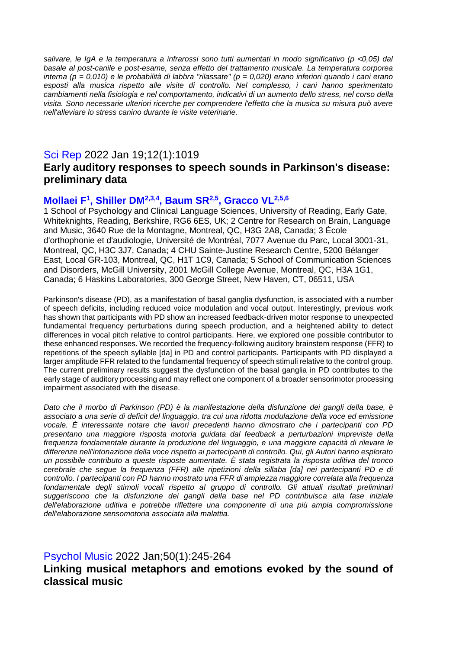*salivare, le IgA e la temperatura a infrarossi sono tutti aumentati in modo significativo (p <0,05) dal basale al post-canile e post-esame, senza effetto del trattamento musicale. La temperatura corporea interna (p = 0,010) e le probabilità di labbra "rilassate" (p = 0,020) erano inferiori quando i cani erano esposti alla musica rispetto alle visite di controllo. Nel complesso, i cani hanno sperimentato cambiamenti nella fisiologia e nel comportamento, indicativi di un aumento dello stress, nel corso della visita. Sono necessarie ulteriori ricerche per comprendere l'effetto che la musica su misura può avere nell'alleviare lo stress canino durante le visite veterinarie.*

### Sci Rep 2022 Jan 19;12(1):1019

# **Early auditory responses to speech sounds in Parkinson's disease: preliminary data**

### **Mollaei F<sup>1</sup> , Shiller DM2,3,4, Baum SR2,5, Gracco VL2,5,6**

1 School of Psychology and Clinical Language Sciences, University of Reading, Early Gate, Whiteknights, Reading, Berkshire, RG6 6ES, UK; 2 Centre for Research on Brain, Language and Music, 3640 Rue de la Montagne, Montreal, QC, H3G 2A8, Canada; 3 École d'orthophonie et d'audiologie, Université de Montréal, 7077 Avenue du Parc, Local 3001-31, Montreal, QC, H3C 3J7, Canada; 4 CHU Sainte-Justine Research Centre, 5200 Bélanger East, Local GR-103, Montreal, QC, H1T 1C9, Canada; 5 School of Communication Sciences and Disorders, McGill University, 2001 McGill College Avenue, Montreal, QC, H3A 1G1, Canada; 6 Haskins Laboratories, 300 George Street, New Haven, CT, 06511, USA

Parkinson's disease (PD), as a manifestation of basal ganglia dysfunction, is associated with a number of speech deficits, including reduced voice modulation and vocal output. Interestingly, previous work has shown that participants with PD show an increased feedback-driven motor response to unexpected fundamental frequency perturbations during speech production, and a heightened ability to detect differences in vocal pitch relative to control participants. Here, we explored one possible contributor to these enhanced responses. We recorded the frequency-following auditory brainstem response (FFR) to repetitions of the speech syllable [da] in PD and control participants. Participants with PD displayed a larger amplitude FFR related to the fundamental frequency of speech stimuli relative to the control group. The current preliminary results suggest the dysfunction of the basal ganglia in PD contributes to the early stage of auditory processing and may reflect one component of a broader sensorimotor processing impairment associated with the disease.

*Dato che il morbo di Parkinson (PD) è la manifestazione della disfunzione dei gangli della base, è associato a una serie di deficit del linguaggio, tra cui una ridotta modulazione della voce ed emissione vocale. È interessante notare che lavori precedenti hanno dimostrato che i partecipanti con PD presentano una maggiore risposta motoria guidata dal feedback a perturbazioni impreviste della frequenza fondamentale durante la produzione del linguaggio, e una maggiore capacità di rilevare le differenze nell'intonazione della voce rispetto ai partecipanti di controllo. Qui, gli Autori hanno esplorato un possibile contributo a queste risposte aumentate. È stata registrata la risposta uditiva del tronco cerebrale che segue la frequenza (FFR) alle ripetizioni della sillaba [da] nei partecipanti PD e di controllo. I partecipanti con PD hanno mostrato una FFR di ampiezza maggiore correlata alla frequenza fondamentale degli stimoli vocali rispetto al gruppo di controllo. Gli attuali risultati preliminari suggeriscono che la disfunzione dei gangli della base nel PD contribuisca alla fase iniziale dell'elaborazione uditiva e potrebbe riflettere una componente di una più ampia compromissione dell'elaborazione sensomotoria associata alla malattia.*

# Psychol Music 2022 Jan;50(1):245-264 **Linking musical metaphors and emotions evoked by the sound of classical music**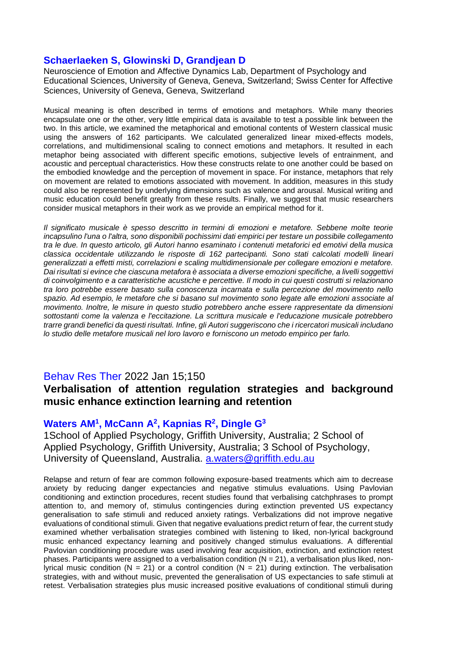#### **Schaerlaeken S, Glowinski D, Grandjean D**

Neuroscience of Emotion and Affective Dynamics Lab, Department of Psychology and Educational Sciences, University of Geneva, Geneva, Switzerland; Swiss Center for Affective Sciences, University of Geneva, Geneva, Switzerland

Musical meaning is often described in terms of emotions and metaphors. While many theories encapsulate one or the other, very little empirical data is available to test a possible link between the two. In this article, we examined the metaphorical and emotional contents of Western classical music using the answers of 162 participants. We calculated generalized linear mixed-effects models, correlations, and multidimensional scaling to connect emotions and metaphors. It resulted in each metaphor being associated with different specific emotions, subjective levels of entrainment, and acoustic and perceptual characteristics. How these constructs relate to one another could be based on the embodied knowledge and the perception of movement in space. For instance, metaphors that rely on movement are related to emotions associated with movement. In addition, measures in this study could also be represented by underlying dimensions such as valence and arousal. Musical writing and music education could benefit greatly from these results. Finally, we suggest that music researchers consider musical metaphors in their work as we provide an empirical method for it.

*Il significato musicale è spesso descritto in termini di emozioni e metafore. Sebbene molte teorie incapsulino l'una o l'altra, sono disponibili pochissimi dati empirici per testare un possibile collegamento tra le due. In questo articolo, gli Autori hanno esaminato i contenuti metaforici ed emotivi della musica classica occidentale utilizzando le risposte di 162 partecipanti. Sono stati calcolati modelli lineari generalizzati a effetti misti, correlazioni e scaling multidimensionale per collegare emozioni e metafore. Dai risultati si evince che ciascuna metafora è associata a diverse emozioni specifiche, a livelli soggettivi di coinvolgimento e a caratteristiche acustiche e percettive. Il modo in cui questi costrutti si relazionano tra loro potrebbe essere basato sulla conoscenza incarnata e sulla percezione del movimento nello spazio. Ad esempio, le metafore che si basano sul movimento sono legate alle emozioni associate al movimento. Inoltre, le misure in questo studio potrebbero anche essere rappresentate da dimensioni sottostanti come la valenza e l'eccitazione. La scrittura musicale e l'educazione musicale potrebbero trarre grandi benefici da questi risultati. Infine, gli Autori suggeriscono che i ricercatori musicali includano lo studio delle metafore musicali nel loro lavoro e forniscono un metodo empirico per farlo.*

#### Behav Res Ther 2022 Jan 15;150

# **Verbalisation of attention regulation strategies and background music enhance extinction learning and retention**

#### **Waters AM<sup>1</sup> , McCann A<sup>2</sup> , Kapnias R<sup>2</sup> , Dingle G<sup>3</sup>**

1School of Applied Psychology, Griffith University, Australia; 2 School of Applied Psychology, Griffith University, Australia; 3 School of Psychology, University of Queensland, Australia. [a.waters@griffith.edu.au](mailto:a.waters@griffith.edu.au)

Relapse and return of fear are common following exposure-based treatments which aim to decrease anxiety by reducing danger expectancies and negative stimulus evaluations. Using Pavlovian conditioning and extinction procedures, recent studies found that verbalising catchphrases to prompt attention to, and memory of, stimulus contingencies during extinction prevented US expectancy generalisation to safe stimuli and reduced anxiety ratings. Verbalizations did not improve negative evaluations of conditional stimuli. Given that negative evaluations predict return of fear, the current study examined whether verbalisation strategies combined with listening to liked, non-lyrical background music enhanced expectancy learning and positively changed stimulus evaluations. A differential Pavlovian conditioning procedure was used involving fear acquisition, extinction, and extinction retest phases. Participants were assigned to a verbalisation condition  $(N = 21)$ , a verbalisation plus liked, nonlyrical music condition (N = 21) or a control condition (N = 21) during extinction. The verbalisation strategies, with and without music, prevented the generalisation of US expectancies to safe stimuli at retest. Verbalisation strategies plus music increased positive evaluations of conditional stimuli during